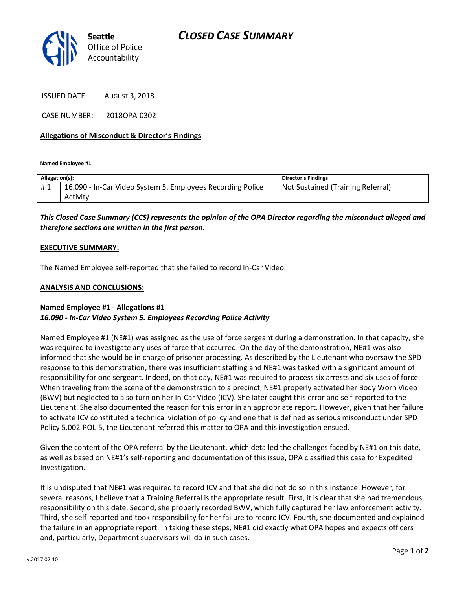

ISSUED DATE: AUGUST 3, 2018

CASE NUMBER: 2018OPA-0302

### Allegations of Misconduct & Director's Findings

Named Employee #1

| Allegation(s): |                                                            | <b>Director's Findings</b>        |
|----------------|------------------------------------------------------------|-----------------------------------|
| #1             | 16.090 - In-Car Video System 5. Employees Recording Police | Not Sustained (Training Referral) |
|                | Activity                                                   |                                   |

# This Closed Case Summary (CCS) represents the opinion of the OPA Director regarding the misconduct alleged and therefore sections are written in the first person.

#### EXECUTIVE SUMMARY:

The Named Employee self-reported that she failed to record In-Car Video.

#### ANALYSIS AND CONCLUSIONS:

## Named Employee #1 - Allegations #1 16.090 - In-Car Video System 5. Employees Recording Police Activity

Named Employee #1 (NE#1) was assigned as the use of force sergeant during a demonstration. In that capacity, she was required to investigate any uses of force that occurred. On the day of the demonstration, NE#1 was also informed that she would be in charge of prisoner processing. As described by the Lieutenant who oversaw the SPD response to this demonstration, there was insufficient staffing and NE#1 was tasked with a significant amount of responsibility for one sergeant. Indeed, on that day, NE#1 was required to process six arrests and six uses of force. When traveling from the scene of the demonstration to a precinct, NE#1 properly activated her Body Worn Video (BWV) but neglected to also turn on her In-Car Video (ICV). She later caught this error and self-reported to the Lieutenant. She also documented the reason for this error in an appropriate report. However, given that her failure to activate ICV constituted a technical violation of policy and one that is defined as serious misconduct under SPD Policy 5.002-POL-5, the Lieutenant referred this matter to OPA and this investigation ensued.

Given the content of the OPA referral by the Lieutenant, which detailed the challenges faced by NE#1 on this date, as well as based on NE#1's self-reporting and documentation of this issue, OPA classified this case for Expedited Investigation.

It is undisputed that NE#1 was required to record ICV and that she did not do so in this instance. However, for several reasons, I believe that a Training Referral is the appropriate result. First, it is clear that she had tremendous responsibility on this date. Second, she properly recorded BWV, which fully captured her law enforcement activity. Third, she self-reported and took responsibility for her failure to record ICV. Fourth, she documented and explained the failure in an appropriate report. In taking these steps, NE#1 did exactly what OPA hopes and expects officers and, particularly, Department supervisors will do in such cases.